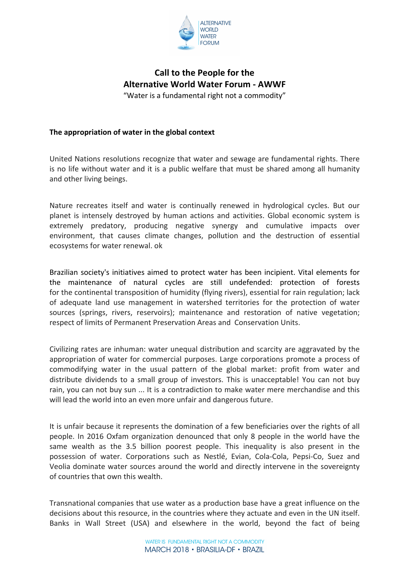

# **Call to the People for the Alternative World Water Forum - AWWF** "Water is a fundamental right not a commodity"

## **The appropriation of water in the global context**

United Nations resolutions recognize that water and sewage are fundamental rights. There is no life without water and it is a public welfare that must be shared among all humanity and other living beings.

Nature recreates itself and water is continually renewed in hydrological cycles. But our planet is intensely destroyed by human actions and activities. Global economic system is extremely predatory, producing negative synergy and cumulative impacts over environment, that causes climate changes, pollution and the destruction of essential ecosystems for water renewal. ok

Brazilian society's initiatives aimed to protect water has been incipient. Vital elements for the maintenance of natural cycles are still undefended: protection of forests for the continental transposition of humidity (flying rivers), essential for rain regulation; lack of adequate land use management in watershed territories for the protection of water sources (springs, rivers, reservoirs); maintenance and restoration of native vegetation; respect of limits of Permanent Preservation Areas and Conservation Units.

Civilizing rates are inhuman: water unequal distribution and scarcity are aggravated by the appropriation of water for commercial purposes. Large corporations promote a process of commodifying water in the usual pattern of the global market: profit from water and distribute dividends to a small group of investors. This is unacceptable! You can not buy rain, you can not buy sun ... It is a contradiction to make water mere merchandise and this will lead the world into an even more unfair and dangerous future.

It is unfair because it represents the domination of a few beneficiaries over the rights of all people. In 2016 Oxfam organization denounced that only 8 people in the world have the same wealth as the 3.5 billion poorest people. This inequality is also present in the possession of water. Corporations such as Nestlé, Evian, Cola-Cola, Pepsi-Co, Suez and Veolia dominate water sources around the world and directly intervene in the sovereignty of countries that own this wealth.

Transnational companies that use water as a production base have a great influence on the decisions about this resource, in the countries where they actuate and even in the UN itself. Banks in Wall Street (USA) and elsewhere in the world, beyond the fact of being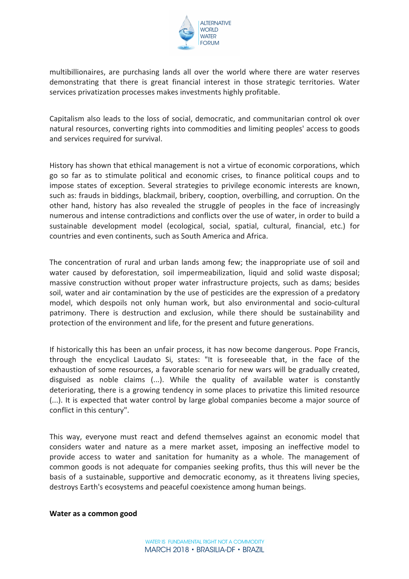

multibillionaires, are purchasing lands all over the world where there are water reserves demonstrating that there is great financial interest in those strategic territories. Water services privatization processes makes investments highly profitable.

Capitalism also leads to the loss of social, democratic, and communitarian control ok over natural resources, converting rights into commodities and limiting peoples' access to goods and services required for survival.

History has shown that ethical management is not a virtue of economic corporations, which go so far as to stimulate political and economic crises, to finance political coups and to impose states of exception. Several strategies to privilege economic interests are known, such as: frauds in biddings, blackmail, bribery, cooption, overbilling, and corruption. On the other hand, history has also revealed the struggle of peoples in the face of increasingly numerous and intense contradictions and conflicts over the use of water, in order to build a sustainable development model (ecological, social, spatial, cultural, financial, etc.) for countries and even continents, such as South America and Africa.

The concentration of rural and urban lands among few; the inappropriate use of soil and water caused by deforestation, soil impermeabilization, liquid and solid waste disposal; massive construction without proper water infrastructure projects, such as dams; besides soil, water and air contamination by the use of pesticides are the expression of a predatory model, which despoils not only human work, but also environmental and socio-cultural patrimony. There is destruction and exclusion, while there should be sustainability and protection of the environment and life, for the present and future generations.

If historically this has been an unfair process, it has now become dangerous. Pope Francis, through the encyclical Laudato Si, states: "It is foreseeable that, in the face of the exhaustion of some resources, a favorable scenario for new wars will be gradually created, disguised as noble claims  $(...)$ . While the quality of available water is constantly deteriorating, there is a growing tendency in some places to privatize this limited resource (...). It is expected that water control by large global companies become a major source of conflict in this century".

This way, everyone must react and defend themselves against an economic model that considers water and nature as a mere market asset, imposing an ineffective model to provide access to water and sanitation for humanity as a whole. The management of common goods is not adequate for companies seeking profits, thus this will never be the basis of a sustainable, supportive and democratic economy, as it threatens living species, destroys Earth's ecosystems and peaceful coexistence among human beings.

#### **Water as a common good**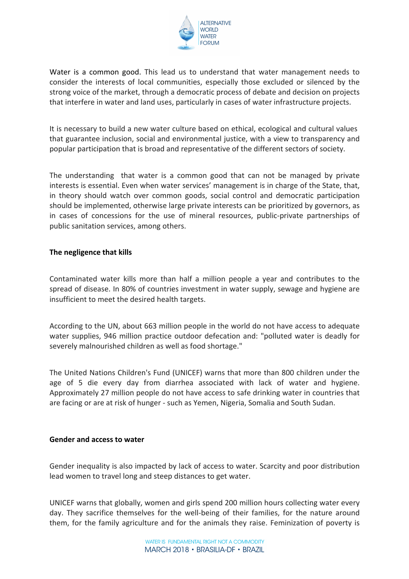

Water is a common good. This lead us to understand that water management needs to consider the interests of local communities, especially those excluded or silenced by the strong voice of the market, through a democratic process of debate and decision on projects that interfere in water and land uses, particularly in cases of water infrastructure projects.

It is necessary to build a new water culture based on ethical, ecological and cultural values that guarantee inclusion, social and environmental justice, with a view to transparency and popular participation that is broad and representative of the different sectors of society.

The understanding that water is a common good that can not be managed by private interests is essential. Even when water services' management is in charge of the State, that, in theory should watch over common goods, social control and democratic participation should be implemented, otherwise large private interests can be prioritized by governors, as in cases of concessions for the use of mineral resources, public-private partnerships of public sanitation services, among others.

### **The negligence that kills**

Contaminated water kills more than half a million people a year and contributes to the spread of disease. In 80% of countries investment in water supply, sewage and hygiene are insufficient to meet the desired health targets.

According to the UN, about 663 million people in the world do not have access to adequate water supplies, 946 million practice outdoor defecation and: "polluted water is deadly for severely malnourished children as well as food shortage."

The United Nations Children's Fund (UNICEF) warns that more than 800 children under the age of 5 die every day from diarrhea associated with lack of water and hygiene. Approximately 27 million people do not have access to safe drinking water in countries that are facing or are at risk of hunger - such as Yemen, Nigeria, Somalia and South Sudan.

#### Gender and access to water

Gender inequality is also impacted by lack of access to water. Scarcity and poor distribution lead women to travel long and steep distances to get water.

UNICEF warns that globally, women and girls spend 200 million hours collecting water every day. They sacrifice themselves for the well-being of their families, for the nature around them, for the family agriculture and for the animals they raise. Feminization of poverty is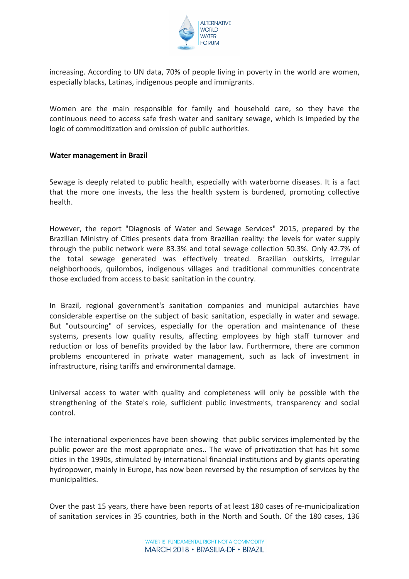

increasing. According to UN data, 70% of people living in poverty in the world are women, especially blacks, Latinas, indigenous people and immigrants.

Women are the main responsible for family and household care, so they have the continuous need to access safe fresh water and sanitary sewage, which is impeded by the logic of commoditization and omission of public authorities.

#### **Water management in Brazil**

Sewage is deeply related to public health, especially with waterborne diseases. It is a fact that the more one invests, the less the health system is burdened, promoting collective health.

However, the report "Diagnosis of Water and Sewage Services" 2015, prepared by the Brazilian Ministry of Cities presents data from Brazilian reality: the levels for water supply through the public network were 83.3% and total sewage collection 50.3%. Only 42.7% of the total sewage generated was effectively treated. Brazilian outskirts, irregular neighborhoods, quilombos, indigenous villages and traditional communities concentrate those excluded from access to basic sanitation in the country.

In Brazil, regional government's sanitation companies and municipal autarchies have considerable expertise on the subject of basic sanitation, especially in water and sewage. But "outsourcing" of services, especially for the operation and maintenance of these systems, presents low quality results, affecting employees by high staff turnover and reduction or loss of benefits provided by the labor law. Furthermore, there are common problems encountered in private water management, such as lack of investment in infrastructure, rising tariffs and environmental damage.

Universal access to water with quality and completeness will only be possible with the strengthening of the State's role, sufficient public investments, transparency and social control.

The international experiences have been showing that public services implemented by the public power are the most appropriate ones.. The wave of privatization that has hit some cities in the 1990s, stimulated by international financial institutions and by giants operating hydropower, mainly in Europe, has now been reversed by the resumption of services by the municipalities.

Over the past 15 years, there have been reports of at least 180 cases of re-municipalization of sanitation services in 35 countries, both in the North and South. Of the 180 cases, 136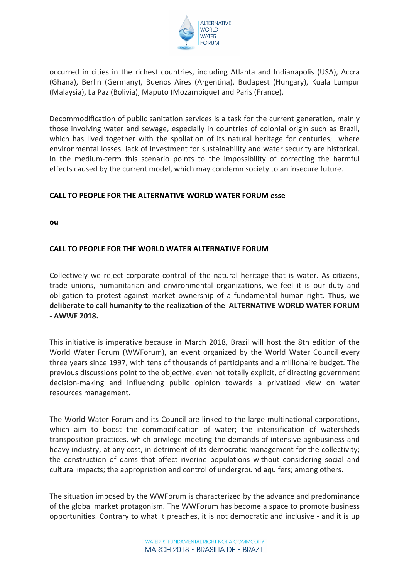

occurred in cities in the richest countries, including Atlanta and Indianapolis (USA), Accra (Ghana), Berlin (Germany), Buenos Aires (Argentina), Budapest (Hungary), Kuala Lumpur (Malaysia), La Paz (Bolivia), Maputo (Mozambique) and Paris (France).

Decommodification of public sanitation services is a task for the current generation, mainly those involving water and sewage, especially in countries of colonial origin such as Brazil, which has lived together with the spoliation of its natural heritage for centuries; where environmental losses, lack of investment for sustainability and water security are historical. In the medium-term this scenario points to the impossibility of correcting the harmful effects caused by the current model, which may condemn society to an insecure future.

### **CALL TO PEOPLE FOR THE ALTERNATIVE WORLD WATER FORUM esse**

**ou**

## **CALL TO PEOPLE FOR THE WORLD WATER ALTERNATIVE FORUM**

Collectively we reject corporate control of the natural heritage that is water. As citizens, trade unions, humanitarian and environmental organizations, we feel it is our duty and obligation to protest against market ownership of a fundamental human right. Thus, we deliberate to call humanity to the realization of the ALTERNATIVE WORLD WATER FORUM **- AWWF 2018.**

This initiative is imperative because in March 2018, Brazil will host the 8th edition of the World Water Forum (WWForum), an event organized by the World Water Council every three years since 1997, with tens of thousands of participants and a millionaire budget. The previous discussions point to the objective, even not totally explicit, of directing government decision-making and influencing public opinion towards a privatized view on water resources management.

The World Water Forum and its Council are linked to the large multinational corporations, which aim to boost the commodification of water; the intensification of watersheds transposition practices, which privilege meeting the demands of intensive agribusiness and heavy industry, at any cost, in detriment of its democratic management for the collectivity; the construction of dams that affect riverine populations without considering social and cultural impacts; the appropriation and control of underground aquifers; among others.

The situation imposed by the WWForum is characterized by the advance and predominance of the global market protagonism. The WWForum has become a space to promote business opportunities. Contrary to what it preaches, it is not democratic and inclusive - and it is up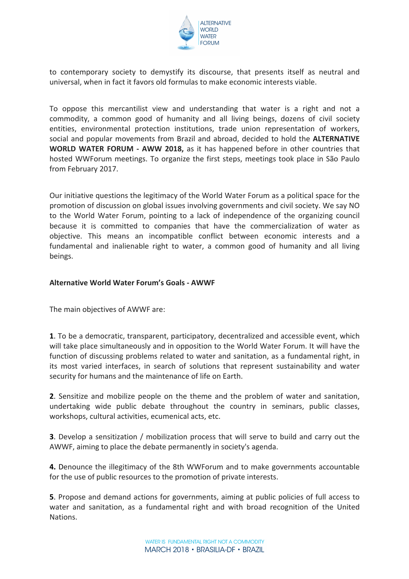

to contemporary society to demystify its discourse, that presents itself as neutral and universal, when in fact it favors old formulas to make economic interests viable.

To oppose this mercantilist view and understanding that water is a right and not a commodity, a common good of humanity and all living beings, dozens of civil society entities, environmental protection institutions, trade union representation of workers, social and popular movements from Brazil and abroad, decided to hold the **ALTERNATIVE WORLD WATER FORUM - AWW 2018,** as it has happened before in other countries that hosted WWForum meetings. To organize the first steps, meetings took place in São Paulo from February 2017.

Our initiative questions the legitimacy of the World Water Forum as a political space for the promotion of discussion on global issues involving governments and civil society. We say NO to the World Water Forum, pointing to a lack of independence of the organizing council because it is committed to companies that have the commercialization of water as objective. This means an incompatible conflict between economic interests and a fundamental and inalienable right to water, a common good of humanity and all living beings.

### **Alternative World Water Forum's Goals - AWWF**

The main objectives of AWWF are:

**1**. To be a democratic, transparent, participatory, decentralized and accessible event, which will take place simultaneously and in opposition to the World Water Forum. It will have the function of discussing problems related to water and sanitation, as a fundamental right, in its most varied interfaces, in search of solutions that represent sustainability and water security for humans and the maintenance of life on Earth.

**2.** Sensitize and mobilize people on the theme and the problem of water and sanitation, undertaking wide public debate throughout the country in seminars, public classes, workshops, cultural activities, ecumenical acts, etc.

**3**. Develop a sensitization / mobilization process that will serve to build and carry out the AWWF, aiming to place the debate permanently in society's agenda.

**4.** Denounce the illegitimacy of the 8th WWForum and to make governments accountable for the use of public resources to the promotion of private interests.

**5**. Propose and demand actions for governments, aiming at public policies of full access to water and sanitation, as a fundamental right and with broad recognition of the United Nations.